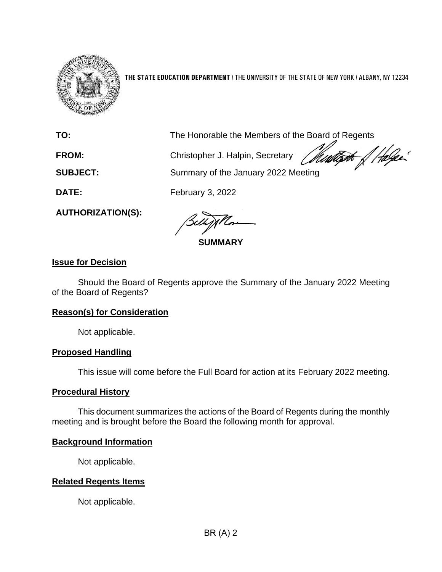

**THE STATE EDUCATION DEPARTMENT** / THE UNIVERSITY OF THE STATE OF NEW YORK / ALBANY, NY 12234

| TO:                      | The Honorable the Members of the Board of Regents        |  |
|--------------------------|----------------------------------------------------------|--|
| <b>FROM:</b>             | Christopher J. Halpin, Secretary <i>Mindles of Halpe</i> |  |
| <b>SUBJECT:</b>          | Summary of the January 2022 Meeting                      |  |
| DATE:                    | February 3, 2022                                         |  |
| <b>AUTHORIZATION(S):</b> |                                                          |  |

**SUMMARY**

# **Issue for Decision**

Should the Board of Regents approve the Summary of the January 2022 Meeting of the Board of Regents?

# **Reason(s) for Consideration**

Not applicable.

# **Proposed Handling**

This issue will come before the Full Board for action at its February 2022 meeting.

## **Procedural History**

This document summarizes the actions of the Board of Regents during the monthly meeting and is brought before the Board the following month for approval.

# **Background Information**

Not applicable.

# **Related Regents Items**

Not applicable.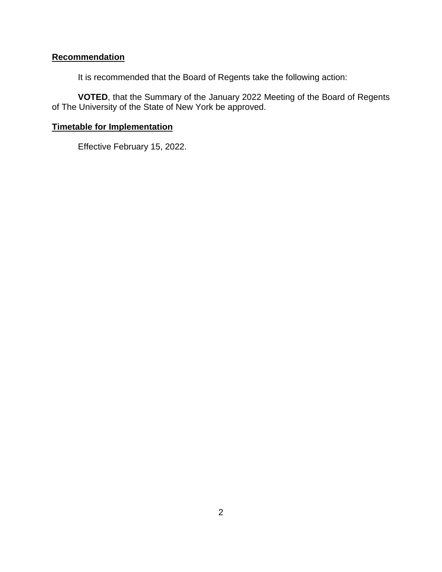# **Recommendation**

It is recommended that the Board of Regents take the following action:

**VOTED**, that the Summary of the January 2022 Meeting of the Board of Regents of The University of the State of New York be approved.

# **Timetable for Implementation**

Effective February 15, 2022.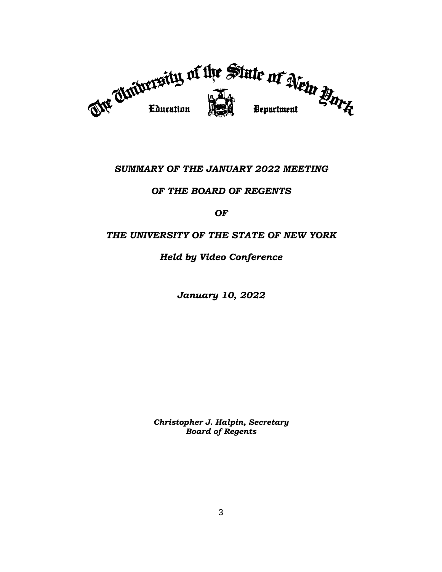

# *SUMMARY OF THE JANUARY 2022 MEETING*

# *OF THE BOARD OF REGENTS*

## *OF*

# *THE UNIVERSITY OF THE STATE OF NEW YORK*

# *Held by Video Conference*

*January 10, 2022*

*Christopher J. Halpin, Secretary Board of Regents*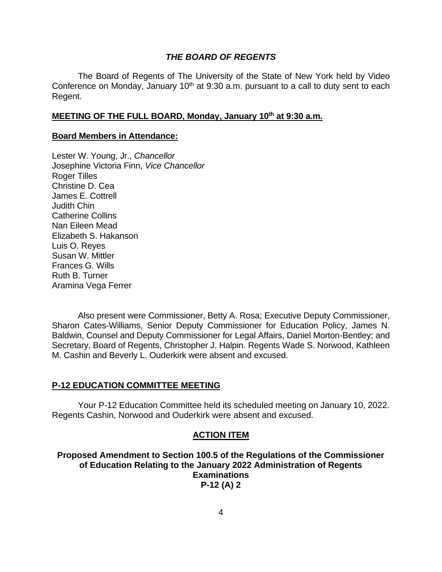### *THE BOARD OF REGENTS*

The Board of Regents of The University of the State of New York held by Video Conference on Monday, January  $10<sup>th</sup>$  at 9:30 a.m. pursuant to a call to duty sent to each Regent.

## **MEETING OF THE FULL BOARD, Monday, January 10 th at 9:30 a.m.**

## **Board Members in Attendance:**

Lester W. Young, Jr., *Chancellor* Josephine Victoria Finn, *Vice Chancellor* Roger Tilles Christine D. Cea James E. Cottrell Judith Chin Catherine Collins Nan Eileen Mead Elizabeth S. Hakanson Luis O. Reyes Susan W. Mittler Frances G. Wills Ruth B. Turner Aramina Vega Ferrer

Also present were Commissioner, Betty A. Rosa; Executive Deputy Commissioner, Sharon Cates-Williams, Senior Deputy Commissioner for Education Policy, James N. Baldwin, Counsel and Deputy Commissioner for Legal Affairs, Daniel Morton-Bentley; and Secretary, Board of Regents, Christopher J. Halpin. Regents Wade S. Norwood, Kathleen M. Cashin and Beverly L. Ouderkirk were absent and excused.

## **P-12 EDUCATION COMMITTEE MEETING**

Your P-12 Education Committee held its scheduled meeting on January 10, 2022. Regents Cashin, Norwood and Ouderkirk were absent and excused.

## **ACTION ITEM**

**Proposed Amendment to Section 100.5 of the Regulations of the Commissioner of Education Relating to the January 2022 Administration of Regents Examinations P-12 (A) 2**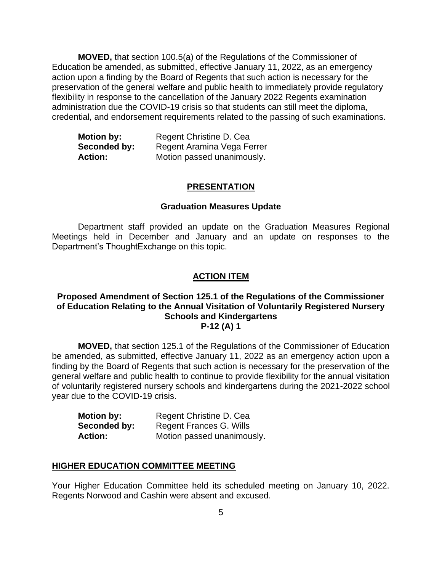**MOVED,** that section 100.5(a) of the Regulations of the Commissioner of Education be amended, as submitted, effective January 11, 2022, as an emergency action upon a finding by the Board of Regents that such action is necessary for the preservation of the general welfare and public health to immediately provide regulatory flexibility in response to the cancellation of the January 2022 Regents examination administration due the COVID-19 crisis so that students can still meet the diploma, credential, and endorsement requirements related to the passing of such examinations.

| <b>Motion by:</b> | Regent Christine D. Cea    |
|-------------------|----------------------------|
| Seconded by:      | Regent Aramina Vega Ferrer |
| <b>Action:</b>    | Motion passed unanimously. |

#### **PRESENTATION**

#### **Graduation Measures Update**

Department staff provided an update on the Graduation Measures Regional Meetings held in December and January and an update on responses to the Department's ThoughtExchange on this topic.

#### **ACTION ITEM**

## **Proposed Amendment of Section 125.1 of the Regulations of the Commissioner of Education Relating to the Annual Visitation of Voluntarily Registered Nursery Schools and Kindergartens P-12 (A) 1**

**MOVED,** that section 125.1 of the Regulations of the Commissioner of Education be amended, as submitted, effective January 11, 2022 as an emergency action upon a finding by the Board of Regents that such action is necessary for the preservation of the general welfare and public health to continue to provide flexibility for the annual visitation of voluntarily registered nursery schools and kindergartens during the 2021-2022 school year due to the COVID-19 crisis.

| <b>Motion by:</b> | Regent Christine D. Cea    |
|-------------------|----------------------------|
| Seconded by:      | Regent Frances G. Wills    |
| <b>Action:</b>    | Motion passed unanimously. |

#### **HIGHER EDUCATION COMMITTEE MEETING**

Your Higher Education Committee held its scheduled meeting on January 10, 2022. Regents Norwood and Cashin were absent and excused.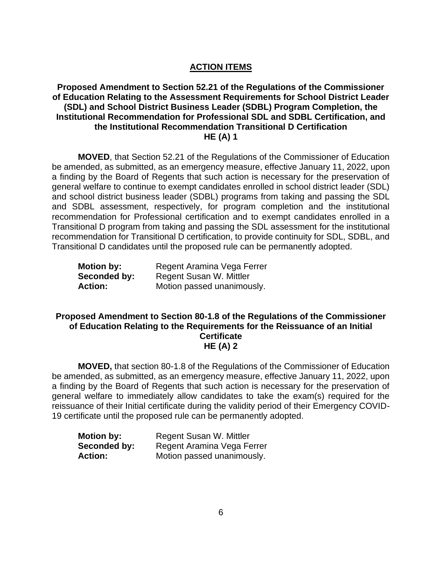# **ACTION ITEMS**

# **Proposed Amendment to Section 52.21 of the Regulations of the Commissioner of Education Relating to the Assessment Requirements for School District Leader (SDL) and School District Business Leader (SDBL) Program Completion, the Institutional Recommendation for Professional SDL and SDBL Certification, and the Institutional Recommendation Transitional D Certification HE (A) 1**

**MOVED**, that Section 52.21 of the Regulations of the Commissioner of Education be amended, as submitted, as an emergency measure, effective January 11, 2022, upon a finding by the Board of Regents that such action is necessary for the preservation of general welfare to continue to exempt candidates enrolled in school district leader (SDL) and school district business leader (SDBL) programs from taking and passing the SDL and SDBL assessment, respectively, for program completion and the institutional recommendation for Professional certification and to exempt candidates enrolled in a Transitional D program from taking and passing the SDL assessment for the institutional recommendation for Transitional D certification, to provide continuity for SDL, SDBL, and Transitional D candidates until the proposed rule can be permanently adopted.

| <b>Motion by:</b> | Regent Aramina Vega Ferrer |
|-------------------|----------------------------|
| Seconded by:      | Regent Susan W. Mittler    |
| <b>Action:</b>    | Motion passed unanimously. |

## **Proposed Amendment to Section 80-1.8 of the Regulations of the Commissioner of Education Relating to the Requirements for the Reissuance of an Initial Certificate HE (A) 2**

**MOVED,** that section 80-1.8 of the Regulations of the Commissioner of Education be amended, as submitted, as an emergency measure, effective January 11, 2022, upon a finding by the Board of Regents that such action is necessary for the preservation of general welfare to immediately allow candidates to take the exam(s) required for the reissuance of their Initial certificate during the validity period of their Emergency COVID-19 certificate until the proposed rule can be permanently adopted.

| <b>Motion by:</b> | Regent Susan W. Mittler    |
|-------------------|----------------------------|
| Seconded by:      | Regent Aramina Vega Ferrer |
| <b>Action:</b>    | Motion passed unanimously. |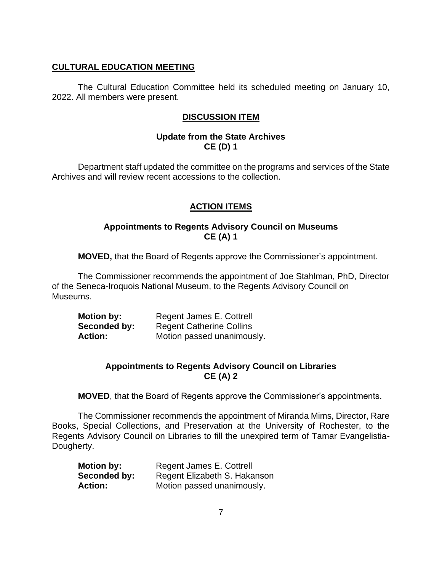# **CULTURAL EDUCATION MEETING**

The Cultural Education Committee held its scheduled meeting on January 10, 2022. All members were present.

# **DISCUSSION ITEM**

# **Update from the State Archives CE (D) 1**

Department staff updated the committee on the programs and services of the State Archives and will review recent accessions to the collection.

# **ACTION ITEMS**

## **Appointments to Regents Advisory Council on Museums CE (A) 1**

**MOVED,** that the Board of Regents approve the Commissioner's appointment.

The Commissioner recommends the appointment of Joe Stahlman, PhD, Director of the Seneca-Iroquois National Museum, to the Regents Advisory Council on Museums.

| <b>Motion by:</b> | Regent James E. Cottrell        |
|-------------------|---------------------------------|
| Seconded by:      | <b>Regent Catherine Collins</b> |
| <b>Action:</b>    | Motion passed unanimously.      |

# **Appointments to Regents Advisory Council on Libraries CE (A) 2**

**MOVED**, that the Board of Regents approve the Commissioner's appointments.

The Commissioner recommends the appointment of Miranda Mims, Director, Rare Books, Special Collections, and Preservation at the University of Rochester, to the Regents Advisory Council on Libraries to fill the unexpired term of Tamar Evangelistia-Dougherty.

| <b>Motion by:</b> | Regent James E. Cottrell     |
|-------------------|------------------------------|
| Seconded by:      | Regent Elizabeth S. Hakanson |
| <b>Action:</b>    | Motion passed unanimously.   |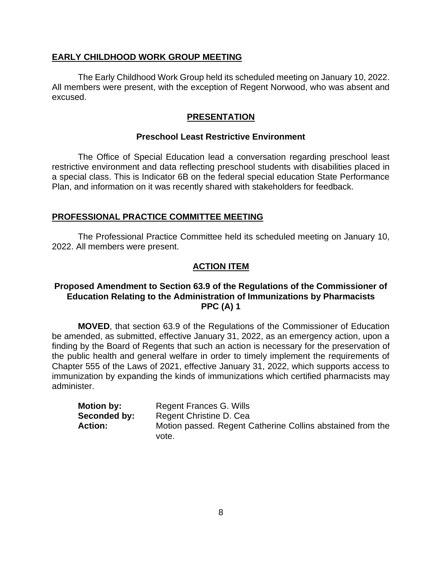## **EARLY CHILDHOOD WORK GROUP MEETING**

The Early Childhood Work Group held its scheduled meeting on January 10, 2022. All members were present, with the exception of Regent Norwood, who was absent and excused.

## **PRESENTATION**

## **Preschool Least Restrictive Environment**

The Office of Special Education lead a conversation regarding preschool least restrictive environment and data reflecting preschool students with disabilities placed in a special class. This is Indicator 6B on the federal special education State Performance Plan, and information on it was recently shared with stakeholders for feedback.

#### **PROFESSIONAL PRACTICE COMMITTEE MEETING**

The Professional Practice Committee held its scheduled meeting on January 10, 2022. All members were present.

### **ACTION ITEM**

## **Proposed Amendment to Section 63.9 of the Regulations of the Commissioner of Education Relating to the Administration of Immunizations by Pharmacists PPC (A) 1**

**MOVED**, that section 63.9 of the Regulations of the Commissioner of Education be amended, as submitted, effective January 31, 2022, as an emergency action, upon a finding by the Board of Regents that such an action is necessary for the preservation of the public health and general welfare in order to timely implement the requirements of Chapter 555 of the Laws of 2021, effective January 31, 2022, which supports access to immunization by expanding the kinds of immunizations which certified pharmacists may administer.

| <b>Motion by:</b> | Regent Frances G. Wills                                    |
|-------------------|------------------------------------------------------------|
| Seconded by:      | Regent Christine D. Cea                                    |
| <b>Action:</b>    | Motion passed. Regent Catherine Collins abstained from the |
|                   | vote.                                                      |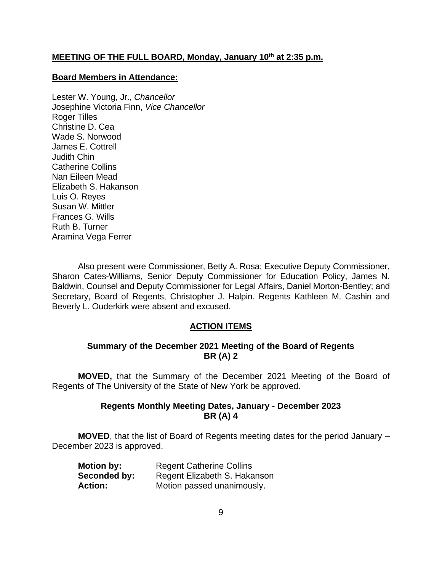# **MEETING OF THE FULL BOARD, Monday, January 10 th at 2:35 p.m.**

### **Board Members in Attendance:**

Lester W. Young, Jr., *Chancellor* Josephine Victoria Finn, *Vice Chancellor* Roger Tilles Christine D. Cea Wade S. Norwood James E. Cottrell Judith Chin Catherine Collins Nan Eileen Mead Elizabeth S. Hakanson Luis O. Reyes Susan W. Mittler Frances G. Wills Ruth B. Turner Aramina Vega Ferrer

Also present were Commissioner, Betty A. Rosa; Executive Deputy Commissioner, Sharon Cates-Williams, Senior Deputy Commissioner for Education Policy, James N. Baldwin, Counsel and Deputy Commissioner for Legal Affairs, Daniel Morton-Bentley; and Secretary, Board of Regents, Christopher J. Halpin. Regents Kathleen M. Cashin and Beverly L. Ouderkirk were absent and excused.

## **ACTION ITEMS**

## **Summary of the December 2021 Meeting of the Board of Regents BR (A) 2**

**MOVED,** that the Summary of the December 2021 Meeting of the Board of Regents of The University of the State of New York be approved.

## **Regents Monthly Meeting Dates, January - December 2023 BR (A) 4**

**MOVED**, that the list of Board of Regents meeting dates for the period January – December 2023 is approved.

| <b>Motion by:</b> | <b>Regent Catherine Collins</b> |
|-------------------|---------------------------------|
| Seconded by:      | Regent Elizabeth S. Hakanson    |
| <b>Action:</b>    | Motion passed unanimously.      |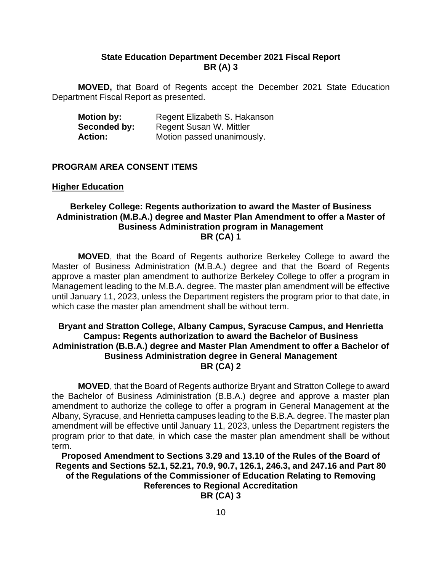## **State Education Department December 2021 Fiscal Report BR (A) 3**

**MOVED,** that Board of Regents accept the December 2021 State Education Department Fiscal Report as presented.

| <b>Motion by:</b> | Regent Elizabeth S. Hakanson |
|-------------------|------------------------------|
| Seconded by:      | Regent Susan W. Mittler      |
| <b>Action:</b>    | Motion passed unanimously.   |

## **PROGRAM AREA CONSENT ITEMS**

#### **Higher Education**

## **Berkeley College: Regents authorization to award the Master of Business Administration (M.B.A.) degree and Master Plan Amendment to offer a Master of Business Administration program in Management BR (CA) 1**

**MOVED**, that the Board of Regents authorize Berkeley College to award the Master of Business Administration (M.B.A.) degree and that the Board of Regents approve a master plan amendment to authorize Berkeley College to offer a program in Management leading to the M.B.A. degree. The master plan amendment will be effective until January 11, 2023, unless the Department registers the program prior to that date, in which case the master plan amendment shall be without term.

## **Bryant and Stratton College, Albany Campus, Syracuse Campus, and Henrietta Campus: Regents authorization to award the Bachelor of Business Administration (B.B.A.) degree and Master Plan Amendment to offer a Bachelor of Business Administration degree in General Management BR (CA) 2**

**MOVED**, that the Board of Regents authorize Bryant and Stratton College to award the Bachelor of Business Administration (B.B.A.) degree and approve a master plan amendment to authorize the college to offer a program in General Management at the Albany, Syracuse, and Henrietta campuses leading to the B.B.A. degree. The master plan amendment will be effective until January 11, 2023, unless the Department registers the program prior to that date, in which case the master plan amendment shall be without term.

**Proposed Amendment to Sections 3.29 and 13.10 of the Rules of the Board of Regents and Sections 52.1, 52.21, 70.9, 90.7, 126.1, 246.3, and 247.16 and Part 80 of the Regulations of the Commissioner of Education Relating to Removing References to Regional Accreditation BR (CA) 3**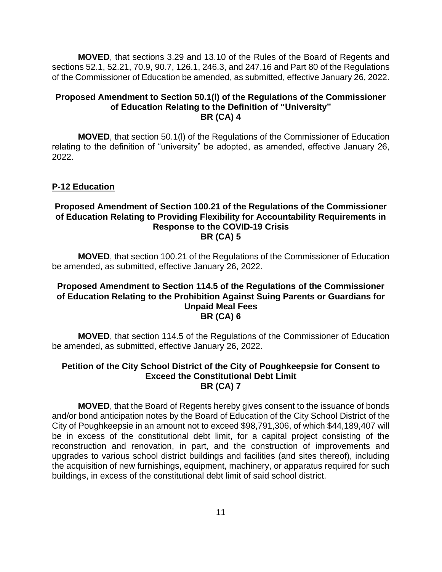**MOVED**, that sections 3.29 and 13.10 of the Rules of the Board of Regents and sections 52.1, 52.21, 70.9, 90.7, 126.1, 246.3, and 247.16 and Part 80 of the Regulations of the Commissioner of Education be amended, as submitted, effective January 26, 2022.

### **Proposed Amendment to Section 50.1(l) of the Regulations of the Commissioner of Education Relating to the Definition of "University" BR (CA) 4**

**MOVED**, that section 50.1(l) of the Regulations of the Commissioner of Education relating to the definition of "university" be adopted, as amended, effective January 26, 2022.

## **P-12 Education**

## **Proposed Amendment of Section 100.21 of the Regulations of the Commissioner of Education Relating to Providing Flexibility for Accountability Requirements in Response to the COVID-19 Crisis BR (CA) 5**

**MOVED**, that section 100.21 of the Regulations of the Commissioner of Education be amended, as submitted, effective January 26, 2022.

## **Proposed Amendment to Section 114.5 of the Regulations of the Commissioner of Education Relating to the Prohibition Against Suing Parents or Guardians for Unpaid Meal Fees BR (CA) 6**

**MOVED**, that section 114.5 of the Regulations of the Commissioner of Education be amended, as submitted, effective January 26, 2022.

### **Petition of the City School District of the City of Poughkeepsie for Consent to Exceed the Constitutional Debt Limit BR (CA) 7**

**MOVED**, that the Board of Regents hereby gives consent to the issuance of bonds and/or bond anticipation notes by the Board of Education of the City School District of the City of Poughkeepsie in an amount not to exceed \$98,791,306, of which \$44,189,407 will be in excess of the constitutional debt limit, for a capital project consisting of the reconstruction and renovation, in part, and the construction of improvements and upgrades to various school district buildings and facilities (and sites thereof), including the acquisition of new furnishings, equipment, machinery, or apparatus required for such buildings, in excess of the constitutional debt limit of said school district.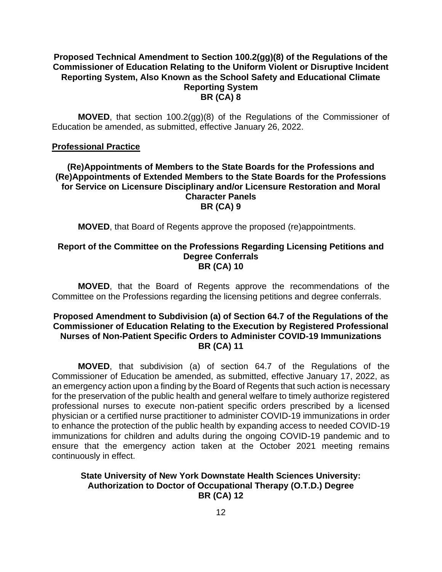## **Proposed Technical Amendment to Section 100.2(gg)(8) of the Regulations of the Commissioner of Education Relating to the Uniform Violent or Disruptive Incident Reporting System, Also Known as the School Safety and Educational Climate Reporting System BR (CA) 8**

**MOVED**, that section 100.2(gg)(8) of the Regulations of the Commissioner of Education be amended, as submitted, effective January 26, 2022.

## **Professional Practice**

## **(Re)Appointments of Members to the State Boards for the Professions and (Re)Appointments of Extended Members to the State Boards for the Professions for Service on Licensure Disciplinary and/or Licensure Restoration and Moral Character Panels BR (CA) 9**

**MOVED**, that Board of Regents approve the proposed (re)appointments.

### **Report of the Committee on the Professions Regarding Licensing Petitions and Degree Conferrals BR (CA) 10**

**MOVED**, that the Board of Regents approve the recommendations of the Committee on the Professions regarding the licensing petitions and degree conferrals.

## **Proposed Amendment to Subdivision (a) of Section 64.7 of the Regulations of the Commissioner of Education Relating to the Execution by Registered Professional Nurses of Non-Patient Specific Orders to Administer COVID-19 Immunizations BR (CA) 11**

**MOVED**, that subdivision (a) of section 64.7 of the Regulations of the Commissioner of Education be amended, as submitted, effective January 17, 2022, as an emergency action upon a finding by the Board of Regents that such action is necessary for the preservation of the public health and general welfare to timely authorize registered professional nurses to execute non-patient specific orders prescribed by a licensed physician or a certified nurse practitioner to administer COVID-19 immunizations in order to enhance the protection of the public health by expanding access to needed COVID-19 immunizations for children and adults during the ongoing COVID-19 pandemic and to ensure that the emergency action taken at the October 2021 meeting remains continuously in effect.

## **State University of New York Downstate Health Sciences University: Authorization to Doctor of Occupational Therapy (O.T.D.) Degree BR (CA) 12**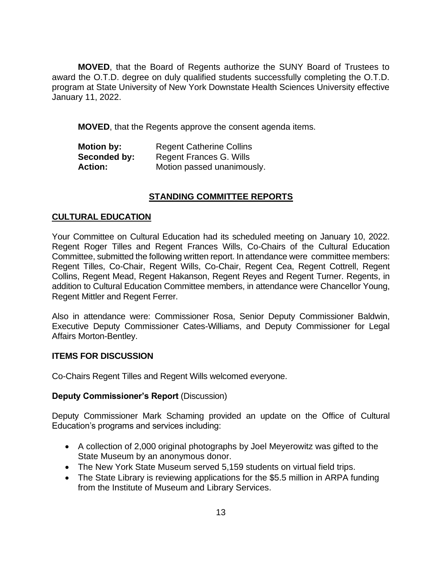**MOVED**, that the Board of Regents authorize the SUNY Board of Trustees to award the O.T.D. degree on duly qualified students successfully completing the O.T.D. program at State University of New York Downstate Health Sciences University effective January 11, 2022.

**MOVED**, that the Regents approve the consent agenda items.

| <b>Motion by:</b> | <b>Regent Catherine Collins</b> |
|-------------------|---------------------------------|
| Seconded by:      | Regent Frances G. Wills         |
| <b>Action:</b>    | Motion passed unanimously.      |

## **STANDING COMMITTEE REPORTS**

## **CULTURAL EDUCATION**

Your Committee on Cultural Education had its scheduled meeting on January 10, 2022. Regent Roger Tilles and Regent Frances Wills, Co-Chairs of the Cultural Education Committee, submitted the following written report. In attendance were committee members: Regent Tilles, Co-Chair, Regent Wills, Co-Chair, Regent Cea, Regent Cottrell, Regent Collins, Regent Mead, Regent Hakanson, Regent Reyes and Regent Turner. Regents, in addition to Cultural Education Committee members, in attendance were Chancellor Young, Regent Mittler and Regent Ferrer.

Also in attendance were: Commissioner Rosa, Senior Deputy Commissioner Baldwin, Executive Deputy Commissioner Cates-Williams, and Deputy Commissioner for Legal Affairs Morton-Bentley.

## **ITEMS FOR DISCUSSION**

Co-Chairs Regent Tilles and Regent Wills welcomed everyone.

## **Deputy Commissioner's Report** (Discussion)

Deputy Commissioner Mark Schaming provided an update on the Office of Cultural Education's programs and services including:

- A collection of 2,000 original photographs by Joel Meyerowitz was gifted to the State Museum by an anonymous donor.
- The New York State Museum served 5,159 students on virtual field trips.
- The State Library is reviewing applications for the \$5.5 million in ARPA funding from the Institute of Museum and Library Services.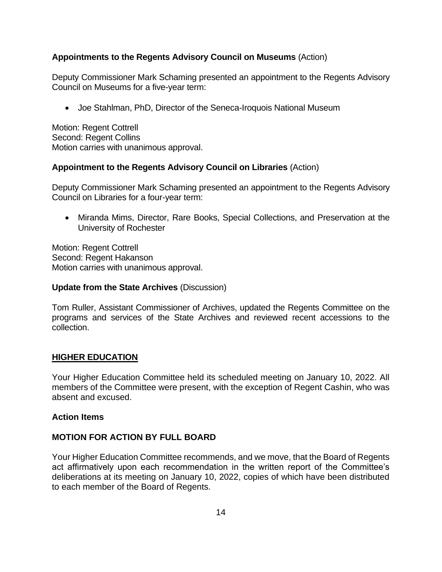# **Appointments to the Regents Advisory Council on Museums** (Action)

Deputy Commissioner Mark Schaming presented an appointment to the Regents Advisory Council on Museums for a five-year term:

• Joe Stahlman, PhD, Director of the Seneca-Iroquois National Museum

Motion: Regent Cottrell Second: Regent Collins Motion carries with unanimous approval.

## **Appointment to the Regents Advisory Council on Libraries** (Action)

Deputy Commissioner Mark Schaming presented an appointment to the Regents Advisory Council on Libraries for a four-year term:

• Miranda Mims, Director, Rare Books, Special Collections, and Preservation at the University of Rochester

Motion: Regent Cottrell Second: Regent Hakanson Motion carries with unanimous approval.

## **Update from the State Archives** (Discussion)

Tom Ruller, Assistant Commissioner of Archives, updated the Regents Committee on the programs and services of the State Archives and reviewed recent accessions to the collection.

## **HIGHER EDUCATION**

Your Higher Education Committee held its scheduled meeting on January 10, 2022. All members of the Committee were present, with the exception of Regent Cashin, who was absent and excused.

## **Action Items**

# **MOTION FOR ACTION BY FULL BOARD**

Your Higher Education Committee recommends, and we move, that the Board of Regents act affirmatively upon each recommendation in the written report of the Committee's deliberations at its meeting on January 10, 2022, copies of which have been distributed to each member of the Board of Regents.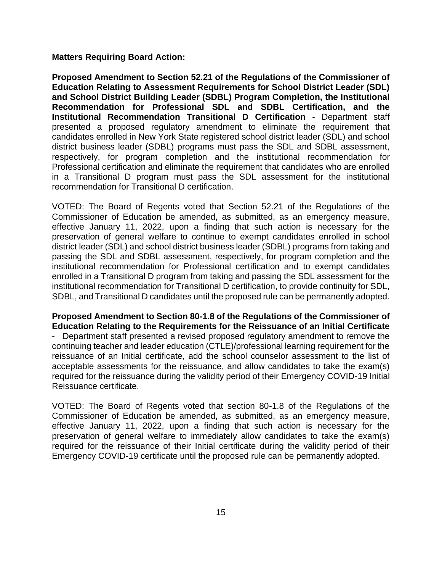#### **Matters Requiring Board Action:**

**Proposed Amendment to Section 52.21 of the Regulations of the Commissioner of Education Relating to Assessment Requirements for School District Leader (SDL) and School District Building Leader (SDBL) Program Completion, the Institutional Recommendation for Professional SDL and SDBL Certification, and the Institutional Recommendation Transitional D Certification** - Department staff presented a proposed regulatory amendment to eliminate the requirement that candidates enrolled in New York State registered school district leader (SDL) and school district business leader (SDBL) programs must pass the SDL and SDBL assessment, respectively, for program completion and the institutional recommendation for Professional certification and eliminate the requirement that candidates who are enrolled in a Transitional D program must pass the SDL assessment for the institutional recommendation for Transitional D certification.

VOTED: The Board of Regents voted that Section 52.21 of the Regulations of the Commissioner of Education be amended, as submitted, as an emergency measure, effective January 11, 2022, upon a finding that such action is necessary for the preservation of general welfare to continue to exempt candidates enrolled in school district leader (SDL) and school district business leader (SDBL) programs from taking and passing the SDL and SDBL assessment, respectively, for program completion and the institutional recommendation for Professional certification and to exempt candidates enrolled in a Transitional D program from taking and passing the SDL assessment for the institutional recommendation for Transitional D certification, to provide continuity for SDL, SDBL, and Transitional D candidates until the proposed rule can be permanently adopted.

## **Proposed Amendment to Section 80-1.8 of the Regulations of the Commissioner of Education Relating to the Requirements for the Reissuance of an Initial Certificate**

- Department staff presented a revised proposed regulatory amendment to remove the continuing teacher and leader education (CTLE)/professional learning requirement for the reissuance of an Initial certificate, add the school counselor assessment to the list of acceptable assessments for the reissuance, and allow candidates to take the exam(s) required for the reissuance during the validity period of their Emergency COVID-19 Initial Reissuance certificate.

VOTED: The Board of Regents voted that section 80-1.8 of the Regulations of the Commissioner of Education be amended, as submitted, as an emergency measure, effective January 11, 2022, upon a finding that such action is necessary for the preservation of general welfare to immediately allow candidates to take the exam(s) required for the reissuance of their Initial certificate during the validity period of their Emergency COVID-19 certificate until the proposed rule can be permanently adopted.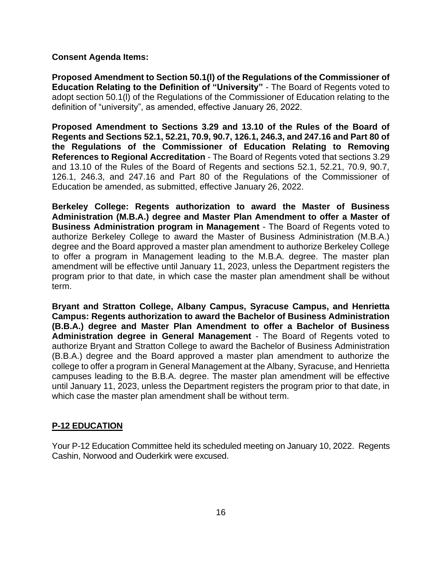### **Consent Agenda Items:**

**Proposed Amendment to Section 50.1(l) of the Regulations of the Commissioner of Education Relating to the Definition of "University"** - The Board of Regents voted to adopt section 50.1(l) of the Regulations of the Commissioner of Education relating to the definition of "university", as amended, effective January 26, 2022.

**Proposed Amendment to Sections 3.29 and 13.10 of the Rules of the Board of Regents and Sections 52.1, 52.21, 70.9, 90.7, 126.1, 246.3, and 247.16 and Part 80 of the Regulations of the Commissioner of Education Relating to Removing References to Regional Accreditation** - The Board of Regents voted that sections 3.29 and 13.10 of the Rules of the Board of Regents and sections 52.1, 52.21, 70.9, 90.7, 126.1, 246.3, and 247.16 and Part 80 of the Regulations of the Commissioner of Education be amended, as submitted, effective January 26, 2022.

**Berkeley College: Regents authorization to award the Master of Business Administration (M.B.A.) degree and Master Plan Amendment to offer a Master of Business Administration program in Management** - The Board of Regents voted to authorize Berkeley College to award the Master of Business Administration (M.B.A.) degree and the Board approved a master plan amendment to authorize Berkeley College to offer a program in Management leading to the M.B.A. degree. The master plan amendment will be effective until January 11, 2023, unless the Department registers the program prior to that date, in which case the master plan amendment shall be without term.

**Bryant and Stratton College, Albany Campus, Syracuse Campus, and Henrietta Campus: Regents authorization to award the Bachelor of Business Administration (B.B.A.) degree and Master Plan Amendment to offer a Bachelor of Business Administration degree in General Management** - The Board of Regents voted to authorize Bryant and Stratton College to award the Bachelor of Business Administration (B.B.A.) degree and the Board approved a master plan amendment to authorize the college to offer a program in General Management at the Albany, Syracuse, and Henrietta campuses leading to the B.B.A. degree. The master plan amendment will be effective until January 11, 2023, unless the Department registers the program prior to that date, in which case the master plan amendment shall be without term.

## **P-12 EDUCATION**

Your P-12 Education Committee held its scheduled meeting on January 10, 2022. Regents Cashin, Norwood and Ouderkirk were excused.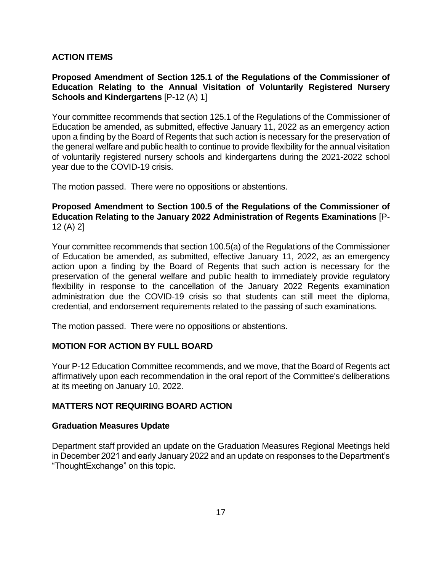# **ACTION ITEMS**

**Proposed Amendment of Section 125.1 of the Regulations of the Commissioner of Education Relating to the Annual Visitation of Voluntarily Registered Nursery Schools and Kindergartens** [P-12 (A) 1]

Your committee recommends that section 125.1 of the Regulations of the Commissioner of Education be amended, as submitted, effective January 11, 2022 as an emergency action upon a finding by the Board of Regents that such action is necessary for the preservation of the general welfare and public health to continue to provide flexibility for the annual visitation of voluntarily registered nursery schools and kindergartens during the 2021-2022 school year due to the COVID-19 crisis.

The motion passed. There were no oppositions or abstentions.

# **Proposed Amendment to Section 100.5 of the Regulations of the Commissioner of Education Relating to the January 2022 Administration of Regents Examinations** [P-12 (A) 2]

Your committee recommends that section 100.5(a) of the Regulations of the Commissioner of Education be amended, as submitted, effective January 11, 2022, as an emergency action upon a finding by the Board of Regents that such action is necessary for the preservation of the general welfare and public health to immediately provide regulatory flexibility in response to the cancellation of the January 2022 Regents examination administration due the COVID-19 crisis so that students can still meet the diploma, credential, and endorsement requirements related to the passing of such examinations.

The motion passed. There were no oppositions or abstentions.

# **MOTION FOR ACTION BY FULL BOARD**

Your P-12 Education Committee recommends, and we move, that the Board of Regents act affirmatively upon each recommendation in the oral report of the Committee's deliberations at its meeting on January 10, 2022.

# **MATTERS NOT REQUIRING BOARD ACTION**

# **Graduation Measures Update**

Department staff provided an update on the Graduation Measures Regional Meetings held in December 2021 and early January 2022 and an update on responses to the Department's "ThoughtExchange" on this topic.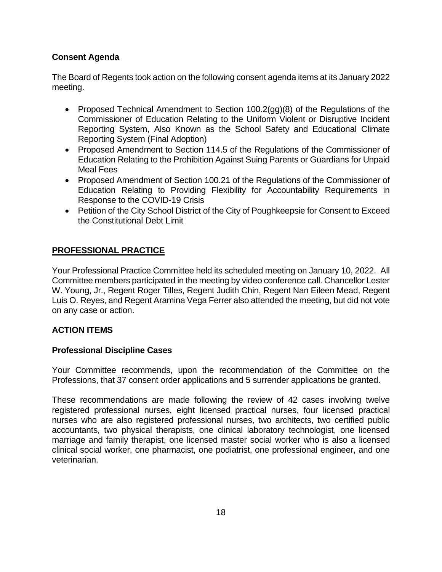# **Consent Agenda**

The Board of Regents took action on the following consent agenda items at its January 2022 meeting.

- Proposed Technical Amendment to Section 100.2(gg)(8) of the Regulations of the Commissioner of Education Relating to the Uniform Violent or Disruptive Incident Reporting System, Also Known as the School Safety and Educational Climate Reporting System (Final Adoption)
- Proposed Amendment to Section 114.5 of the Regulations of the Commissioner of Education Relating to the Prohibition Against Suing Parents or Guardians for Unpaid Meal Fees
- Proposed Amendment of Section 100.21 of the Regulations of the Commissioner of Education Relating to Providing Flexibility for Accountability Requirements in Response to the COVID-19 Crisis
- Petition of the City School District of the City of Poughkeepsie for Consent to Exceed the Constitutional Debt Limit

# **PROFESSIONAL PRACTICE**

Your Professional Practice Committee held its scheduled meeting on January 10, 2022. All Committee members participated in the meeting by video conference call. Chancellor Lester W. Young, Jr., Regent Roger Tilles, Regent Judith Chin, Regent Nan Eileen Mead, Regent Luis O. Reyes, and Regent Aramina Vega Ferrer also attended the meeting, but did not vote on any case or action.

# **ACTION ITEMS**

# **Professional Discipline Cases**

Your Committee recommends, upon the recommendation of the Committee on the Professions, that 37 consent order applications and 5 surrender applications be granted.

These recommendations are made following the review of 42 cases involving twelve registered professional nurses, eight licensed practical nurses, four licensed practical nurses who are also registered professional nurses, two architects, two certified public accountants, two physical therapists, one clinical laboratory technologist, one licensed marriage and family therapist, one licensed master social worker who is also a licensed clinical social worker, one pharmacist, one podiatrist, one professional engineer, and one veterinarian.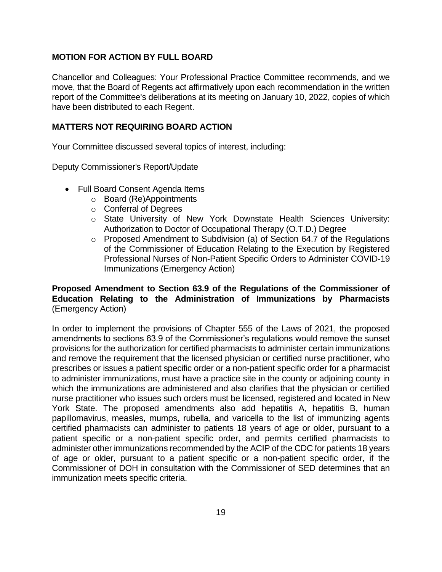# **MOTION FOR ACTION BY FULL BOARD**

Chancellor and Colleagues: Your Professional Practice Committee recommends, and we move, that the Board of Regents act affirmatively upon each recommendation in the written report of the Committee's deliberations at its meeting on January 10, 2022, copies of which have been distributed to each Regent.

## **MATTERS NOT REQUIRING BOARD ACTION**

Your Committee discussed several topics of interest, including:

Deputy Commissioner's Report/Update

- Full Board Consent Agenda Items
	- o Board (Re)Appointments
	- o Conferral of Degrees
	- o State University of New York Downstate Health Sciences University: Authorization to Doctor of Occupational Therapy (O.T.D.) Degree
	- o Proposed Amendment to Subdivision (a) of Section 64.7 of the Regulations of the Commissioner of Education Relating to the Execution by Registered Professional Nurses of Non-Patient Specific Orders to Administer COVID-19 Immunizations (Emergency Action)

## **Proposed Amendment to Section 63.9 of the Regulations of the Commissioner of Education Relating to the Administration of Immunizations by Pharmacists** (Emergency Action)

In order to implement the provisions of Chapter 555 of the Laws of 2021, the proposed amendments to sections 63.9 of the Commissioner's regulations would remove the sunset provisions for the authorization for certified pharmacists to administer certain immunizations and remove the requirement that the licensed physician or certified nurse practitioner, who prescribes or issues a patient specific order or a non-patient specific order for a pharmacist to administer immunizations, must have a practice site in the county or adjoining county in which the immunizations are administered and also clarifies that the physician or certified nurse practitioner who issues such orders must be licensed, registered and located in New York State. The proposed amendments also add hepatitis A, hepatitis B, human papillomavirus, measles, mumps, rubella, and varicella to the list of immunizing agents certified pharmacists can administer to patients 18 years of age or older, pursuant to a patient specific or a non-patient specific order, and permits certified pharmacists to administer other immunizations recommended by the ACIP of the CDC for patients 18 years of age or older, pursuant to a patient specific or a non-patient specific order, if the Commissioner of DOH in consultation with the Commissioner of SED determines that an immunization meets specific criteria.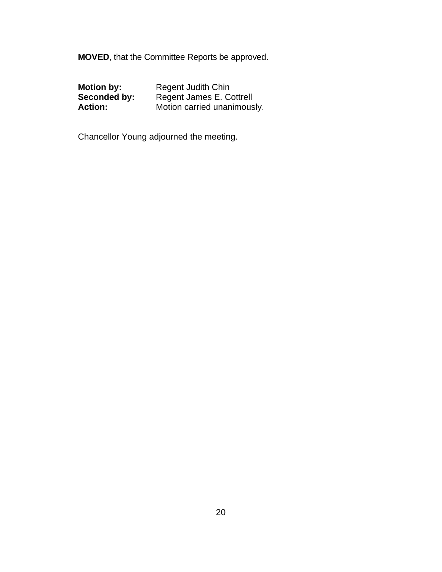**MOVED**, that the Committee Reports be approved.

| <b>Motion by:</b> | <b>Regent Judith Chin</b>   |
|-------------------|-----------------------------|
| Seconded by:      | Regent James E. Cottrell    |
| <b>Action:</b>    | Motion carried unanimously. |

Chancellor Young adjourned the meeting.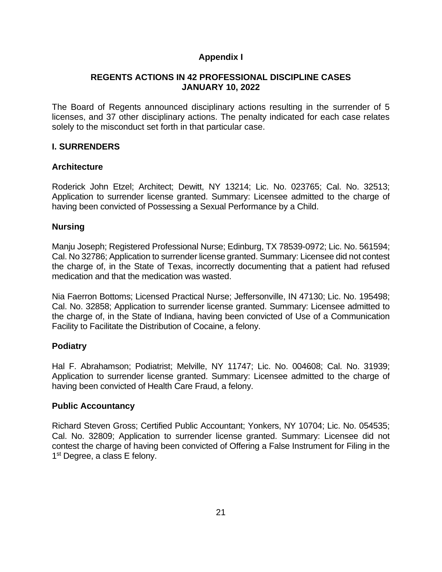# **Appendix I**

## **REGENTS ACTIONS IN 42 PROFESSIONAL DISCIPLINE CASES JANUARY 10, 2022**

The Board of Regents announced disciplinary actions resulting in the surrender of 5 licenses, and 37 other disciplinary actions. The penalty indicated for each case relates solely to the misconduct set forth in that particular case.

# **I. SURRENDERS**

# **Architecture**

Roderick John Etzel; Architect; Dewitt, NY 13214; Lic. No. 023765; Cal. No. 32513; Application to surrender license granted. Summary: Licensee admitted to the charge of having been convicted of Possessing a Sexual Performance by a Child.

## **Nursing**

Manju Joseph; Registered Professional Nurse; Edinburg, TX 78539-0972; Lic. No. 561594; Cal. No 32786; Application to surrender license granted. Summary: Licensee did not contest the charge of, in the State of Texas, incorrectly documenting that a patient had refused medication and that the medication was wasted.

Nia Faerron Bottoms; Licensed Practical Nurse; Jeffersonville, IN 47130; Lic. No. 195498; Cal. No. 32858; Application to surrender license granted. Summary: Licensee admitted to the charge of, in the State of Indiana, having been convicted of Use of a Communication Facility to Facilitate the Distribution of Cocaine, a felony.

# **Podiatry**

Hal F. Abrahamson; Podiatrist; Melville, NY 11747; Lic. No. 004608; Cal. No. 31939; Application to surrender license granted. Summary: Licensee admitted to the charge of having been convicted of Health Care Fraud, a felony.

## **Public Accountancy**

Richard Steven Gross; Certified Public Accountant; Yonkers, NY 10704; Lic. No. 054535; Cal. No. 32809; Application to surrender license granted. Summary: Licensee did not contest the charge of having been convicted of Offering a False Instrument for Filing in the 1<sup>st</sup> Degree, a class E felony.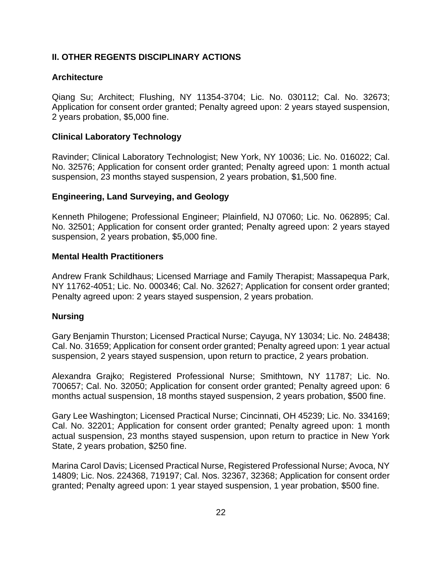# **II. OTHER REGENTS DISCIPLINARY ACTIONS**

## **Architecture**

Qiang Su; Architect; Flushing, NY 11354-3704; Lic. No. 030112; Cal. No. 32673; Application for consent order granted; Penalty agreed upon: 2 years stayed suspension, 2 years probation, \$5,000 fine.

## **Clinical Laboratory Technology**

Ravinder; Clinical Laboratory Technologist; New York, NY 10036; Lic. No. 016022; Cal. No. 32576; Application for consent order granted; Penalty agreed upon: 1 month actual suspension, 23 months stayed suspension, 2 years probation, \$1,500 fine.

## **Engineering, Land Surveying, and Geology**

Kenneth Philogene; Professional Engineer; Plainfield, NJ 07060; Lic. No. 062895; Cal. No. 32501; Application for consent order granted; Penalty agreed upon: 2 years stayed suspension, 2 years probation, \$5,000 fine.

## **Mental Health Practitioners**

Andrew Frank Schildhaus; Licensed Marriage and Family Therapist; Massapequa Park, NY 11762-4051; Lic. No. 000346; Cal. No. 32627; Application for consent order granted; Penalty agreed upon: 2 years stayed suspension, 2 years probation.

## **Nursing**

Gary Benjamin Thurston; Licensed Practical Nurse; Cayuga, NY 13034; Lic. No. 248438; Cal. No. 31659; Application for consent order granted; Penalty agreed upon: 1 year actual suspension, 2 years stayed suspension, upon return to practice, 2 years probation.

Alexandra Grajko; Registered Professional Nurse; Smithtown, NY 11787; Lic. No. 700657; Cal. No. 32050; Application for consent order granted; Penalty agreed upon: 6 months actual suspension, 18 months stayed suspension, 2 years probation, \$500 fine.

Gary Lee Washington; Licensed Practical Nurse; Cincinnati, OH 45239; Lic. No. 334169; Cal. No. 32201; Application for consent order granted; Penalty agreed upon: 1 month actual suspension, 23 months stayed suspension, upon return to practice in New York State, 2 years probation, \$250 fine.

Marina Carol Davis; Licensed Practical Nurse, Registered Professional Nurse; Avoca, NY 14809; Lic. Nos. 224368, 719197; Cal. Nos. 32367, 32368; Application for consent order granted; Penalty agreed upon: 1 year stayed suspension, 1 year probation, \$500 fine.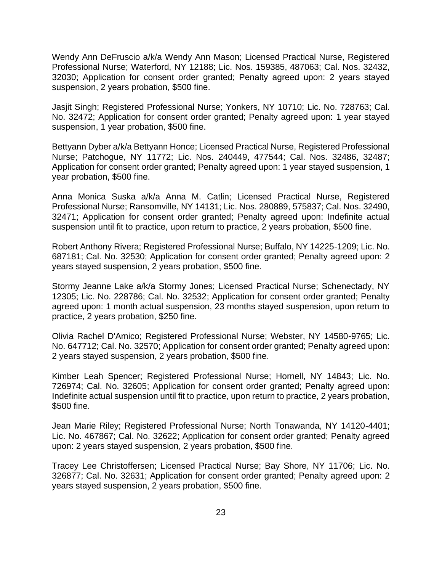Wendy Ann DeFruscio a/k/a Wendy Ann Mason; Licensed Practical Nurse, Registered Professional Nurse; Waterford, NY 12188; Lic. Nos. 159385, 487063; Cal. Nos. 32432, 32030; Application for consent order granted; Penalty agreed upon: 2 years stayed suspension, 2 years probation, \$500 fine.

Jasjit Singh; Registered Professional Nurse; Yonkers, NY 10710; Lic. No. 728763; Cal. No. 32472; Application for consent order granted; Penalty agreed upon: 1 year stayed suspension, 1 year probation, \$500 fine.

Bettyann Dyber a/k/a Bettyann Honce; Licensed Practical Nurse, Registered Professional Nurse; Patchogue, NY 11772; Lic. Nos. 240449, 477544; Cal. Nos. 32486, 32487; Application for consent order granted; Penalty agreed upon: 1 year stayed suspension, 1 year probation, \$500 fine.

Anna Monica Suska a/k/a Anna M. Catlin; Licensed Practical Nurse, Registered Professional Nurse; Ransomville, NY 14131; Lic. Nos. 280889, 575837; Cal. Nos. 32490, 32471; Application for consent order granted; Penalty agreed upon: Indefinite actual suspension until fit to practice, upon return to practice, 2 years probation, \$500 fine.

Robert Anthony Rivera; Registered Professional Nurse; Buffalo, NY 14225-1209; Lic. No. 687181; Cal. No. 32530; Application for consent order granted; Penalty agreed upon: 2 years stayed suspension, 2 years probation, \$500 fine.

Stormy Jeanne Lake a/k/a Stormy Jones; Licensed Practical Nurse; Schenectady, NY 12305; Lic. No. 228786; Cal. No. 32532; Application for consent order granted; Penalty agreed upon: 1 month actual suspension, 23 months stayed suspension, upon return to practice, 2 years probation, \$250 fine.

Olivia Rachel D'Amico; Registered Professional Nurse; Webster, NY 14580-9765; Lic. No. 647712; Cal. No. 32570; Application for consent order granted; Penalty agreed upon: 2 years stayed suspension, 2 years probation, \$500 fine.

Kimber Leah Spencer; Registered Professional Nurse; Hornell, NY 14843; Lic. No. 726974; Cal. No. 32605; Application for consent order granted; Penalty agreed upon: Indefinite actual suspension until fit to practice, upon return to practice, 2 years probation, \$500 fine.

Jean Marie Riley; Registered Professional Nurse; North Tonawanda, NY 14120-4401; Lic. No. 467867; Cal. No. 32622; Application for consent order granted; Penalty agreed upon: 2 years stayed suspension, 2 years probation, \$500 fine.

Tracey Lee Christoffersen; Licensed Practical Nurse; Bay Shore, NY 11706; Lic. No. 326877; Cal. No. 32631; Application for consent order granted; Penalty agreed upon: 2 years stayed suspension, 2 years probation, \$500 fine.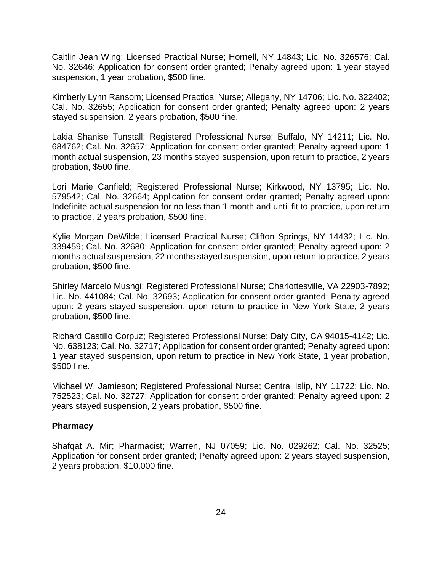Caitlin Jean Wing; Licensed Practical Nurse; Hornell, NY 14843; Lic. No. 326576; Cal. No. 32646; Application for consent order granted; Penalty agreed upon: 1 year stayed suspension, 1 year probation, \$500 fine.

Kimberly Lynn Ransom; Licensed Practical Nurse; Allegany, NY 14706; Lic. No. 322402; Cal. No. 32655; Application for consent order granted; Penalty agreed upon: 2 years stayed suspension, 2 years probation, \$500 fine.

Lakia Shanise Tunstall; Registered Professional Nurse; Buffalo, NY 14211; Lic. No. 684762; Cal. No. 32657; Application for consent order granted; Penalty agreed upon: 1 month actual suspension, 23 months stayed suspension, upon return to practice, 2 years probation, \$500 fine.

Lori Marie Canfield; Registered Professional Nurse; Kirkwood, NY 13795; Lic. No. 579542; Cal. No. 32664; Application for consent order granted; Penalty agreed upon: Indefinite actual suspension for no less than 1 month and until fit to practice, upon return to practice, 2 years probation, \$500 fine.

Kylie Morgan DeWilde; Licensed Practical Nurse; Clifton Springs, NY 14432; Lic. No. 339459; Cal. No. 32680; Application for consent order granted; Penalty agreed upon: 2 months actual suspension, 22 months stayed suspension, upon return to practice, 2 years probation, \$500 fine.

Shirley Marcelo Musngi; Registered Professional Nurse; Charlottesville, VA 22903-7892; Lic. No. 441084; Cal. No. 32693; Application for consent order granted; Penalty agreed upon: 2 years stayed suspension, upon return to practice in New York State, 2 years probation, \$500 fine.

Richard Castillo Corpuz; Registered Professional Nurse; Daly City, CA 94015-4142; Lic. No. 638123; Cal. No. 32717; Application for consent order granted; Penalty agreed upon: 1 year stayed suspension, upon return to practice in New York State, 1 year probation, \$500 fine.

Michael W. Jamieson; Registered Professional Nurse; Central Islip, NY 11722; Lic. No. 752523; Cal. No. 32727; Application for consent order granted; Penalty agreed upon: 2 years stayed suspension, 2 years probation, \$500 fine.

## **Pharmacy**

Shafqat A. Mir; Pharmacist; Warren, NJ 07059; Lic. No. 029262; Cal. No. 32525; Application for consent order granted; Penalty agreed upon: 2 years stayed suspension, 2 years probation, \$10,000 fine.